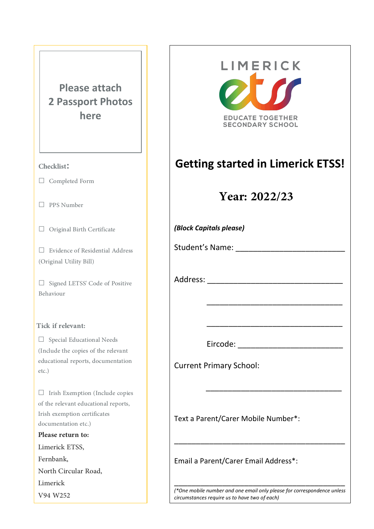# **Please attach 2 Passport Photos here**

## **Checklist:**

**☐** Completed Form

**☐** PPS Number

**☐** Original Birth Certificate

**□** Evidence of Residential Address (Original Utility Bill)

**☐** Signed LETSS' Code of Positive Behaviour

#### **Tick if relevant:**

**☐** Special Educational Needs (Include the copies of the relevant educational reports, documentation etc.)

**☐** Irish Exemption (Include copies of the relevant educational reports, Irish exemption certificates documentation etc.) **Please return to:**

Limerick ETSS, Fernbank, North Circular Road, Limerick V94 W252



*(\*One mobile number and one email only please for correspondence unless circumstances require us to have two of each)*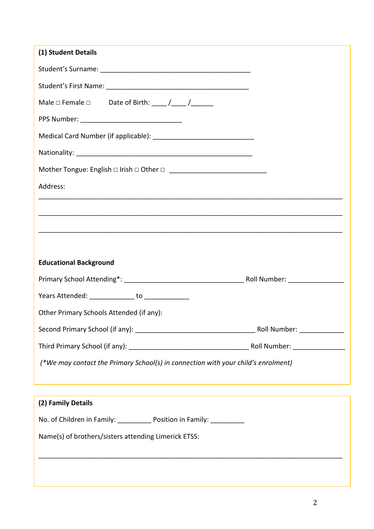| (1) Student Details                                                               |  |  |
|-----------------------------------------------------------------------------------|--|--|
|                                                                                   |  |  |
|                                                                                   |  |  |
| Male $\Box$ Female $\Box$ Date of Birth: ____ /____ /______                       |  |  |
|                                                                                   |  |  |
|                                                                                   |  |  |
|                                                                                   |  |  |
|                                                                                   |  |  |
| Address:                                                                          |  |  |
|                                                                                   |  |  |
|                                                                                   |  |  |
|                                                                                   |  |  |
| <b>Educational Background</b>                                                     |  |  |
|                                                                                   |  |  |
|                                                                                   |  |  |
| Years Attended: ______________ to _____________                                   |  |  |
| Other Primary Schools Attended (if any):                                          |  |  |
|                                                                                   |  |  |
|                                                                                   |  |  |
| (*We may contact the Primary School(s) in connection with your child's enrolment) |  |  |
|                                                                                   |  |  |
| (2) Family Details                                                                |  |  |
| No. of Children in Family: _____________ Position in Family: ___________          |  |  |
| Name(s) of brothers/sisters attending Limerick ETSS:                              |  |  |
|                                                                                   |  |  |
|                                                                                   |  |  |
|                                                                                   |  |  |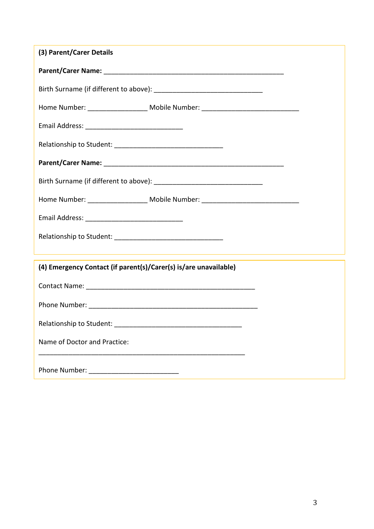| (3) Parent/Carer Details                                                         |
|----------------------------------------------------------------------------------|
|                                                                                  |
|                                                                                  |
| Home Number: _____________________ Mobile Number: ______________________________ |
|                                                                                  |
|                                                                                  |
|                                                                                  |
|                                                                                  |
| Home Number: ____________________ Mobile Number: _______________________________ |
|                                                                                  |
|                                                                                  |
|                                                                                  |
| (4) Emergency Contact (if parent(s)/Carer(s) is/are unavailable)                 |
|                                                                                  |
|                                                                                  |
| Relationship to Student:                                                         |
| Name of Doctor and Practice:                                                     |
|                                                                                  |
|                                                                                  |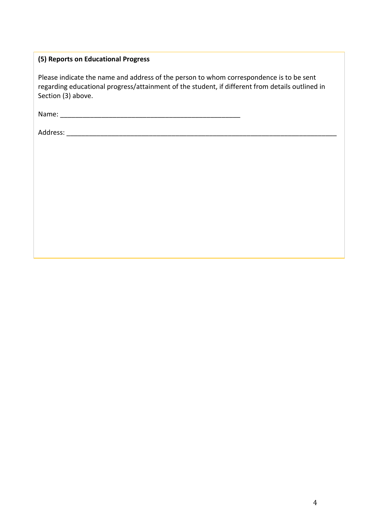## **(5) Reports on Educational Progress**

Please indicate the name and address of the person to whom correspondence is to be sent regarding educational progress/attainment of the student, if different from details outlined in Section (3) above.

Name: \_\_\_\_\_\_\_\_\_\_\_\_\_\_\_\_\_\_\_\_\_\_\_\_\_\_\_\_\_\_\_\_\_\_\_\_\_\_\_\_\_\_\_\_\_\_\_\_

Address: \_\_\_\_\_\_\_\_\_\_\_\_\_\_\_\_\_\_\_\_\_\_\_\_\_\_\_\_\_\_\_\_\_\_\_\_\_\_\_\_\_\_\_\_\_\_\_\_\_\_\_\_\_\_\_\_\_\_\_\_\_\_\_\_\_\_\_\_\_\_\_\_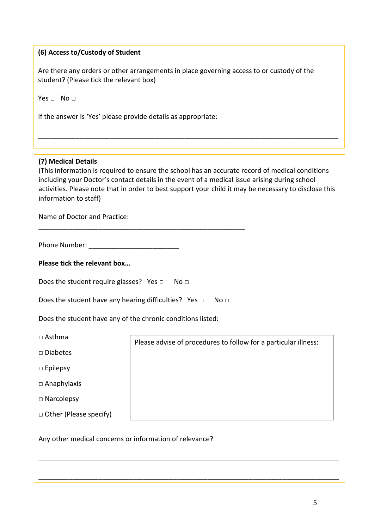### **(6) Access to/Custody of Student**

Are there any orders or other arrangements in place governing access to or custody of the student? (Please tick the relevant box)

Yes □ No □

If the answer is 'Yes' please provide details as appropriate:

#### $\overline{\phantom{a}}$  ,  $\overline{\phantom{a}}$  ,  $\overline{\phantom{a}}$  ,  $\overline{\phantom{a}}$  ,  $\overline{\phantom{a}}$  ,  $\overline{\phantom{a}}$  ,  $\overline{\phantom{a}}$  ,  $\overline{\phantom{a}}$  ,  $\overline{\phantom{a}}$  ,  $\overline{\phantom{a}}$  ,  $\overline{\phantom{a}}$  ,  $\overline{\phantom{a}}$  ,  $\overline{\phantom{a}}$  ,  $\overline{\phantom{a}}$  ,  $\overline{\phantom{a}}$  ,  $\overline{\phantom{a}}$ **(7) Medical Details**

| (This information is required to ensure the school has an accurate record of medical conditions       |
|-------------------------------------------------------------------------------------------------------|
| including your Doctor's contact details in the event of a medical issue arising during school         |
| activities. Please note that in order to best support your child it may be necessary to disclose this |
| information to staff)                                                                                 |

\_\_\_\_\_\_\_\_\_\_\_\_\_\_\_\_\_\_\_\_\_\_\_\_\_\_\_\_\_\_\_\_\_\_\_\_\_\_\_\_\_\_\_\_\_\_\_\_\_\_\_\_\_\_\_\_\_\_\_\_\_\_\_\_\_\_\_\_\_\_\_\_\_\_\_\_\_\_\_\_

\_\_\_\_\_\_\_\_\_\_\_\_\_\_\_\_\_\_\_\_\_\_\_\_\_\_\_\_\_\_\_\_\_\_\_\_\_\_\_\_\_\_\_\_\_\_\_\_\_\_\_\_\_\_\_\_\_\_\_\_\_\_\_\_\_\_\_\_\_\_\_\_\_\_\_\_\_\_\_\_

\_\_\_\_\_\_\_\_\_\_\_\_\_\_\_\_\_\_\_\_\_\_\_\_\_\_\_\_\_\_\_\_\_\_\_\_\_\_\_\_\_\_\_\_\_\_\_\_\_\_\_\_\_\_\_\_\_\_\_\_\_\_\_\_\_\_\_\_\_\_\_\_\_\_\_\_\_\_\_\_

Name of Doctor and Practice:

Phone Number:  $\blacksquare$ 

**Please tick the relevant box…**

Does the student require glasses? Yes □ No □

Does the student have any hearing difficulties? Yes □ No □

\_\_\_\_\_\_\_\_\_\_\_\_\_\_\_\_\_\_\_\_\_\_\_\_\_\_\_\_\_\_\_\_\_\_\_\_\_\_\_\_\_\_\_\_\_\_\_\_\_\_\_\_\_\_\_

Does the student have any of the chronic conditions listed:

 $\Box$  Asthma

□ Diabetes

□ Epilepsy

□ Anaphylaxis

□ Narcolepsy

□ Other (Please specify)

Please advise of procedures to follow for a particular illness:

Any other medical concerns or information of relevance?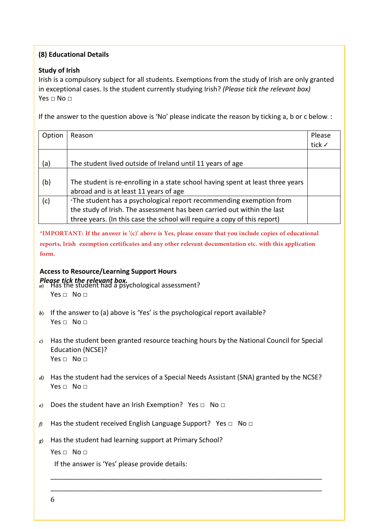## **(8) Educational Details**

#### **Study of Irish**

Irish is a compulsory subject for all students. Exemptions from the study of Irish are only granted in exceptional cases. Is the student currently studying Irish? *(Please tick the relevant box)* Yes  $\Box$  No  $\Box$ 

If the answer to the question above is 'No' please indicate the reason by ticking a, b or c below. :

| Option | Reason                                                                          | Please |
|--------|---------------------------------------------------------------------------------|--------|
|        |                                                                                 | tick √ |
|        |                                                                                 |        |
| (a)    | The student lived outside of Ireland until 11 years of age                      |        |
|        |                                                                                 |        |
| (b)    | The student is re-enrolling in a state school having spent at least three years |        |
|        | abroad and is at least 11 years of age                                          |        |
| (c)    | *The student has a psychological report recommending exemption from             |        |
|        | the study of Irish. The assessment has been carried out within the last         |        |
|        | three years. (In this case the school will require a copy of this report)       |        |

**\*IMPORTANT: If the answer is '(c)' above is Yes, please ensure that you include copies of educational reports, Irish exemption certificates and any other relevant documentation etc. with this application form.**

# **Access to Resource/Learning Support Hours**

- Please tick the relevant box.<br>a) Has the student had a psychological assessment? Yes  $\Box$  No  $\Box$
- *b)* If the answer to (a) above is 'Yes' is the psychological report available? Yes  $\Box$  No  $\Box$
- *c)* Has the student been granted resource teaching hours by the National Council for Special Education (NCSE)? Yes □ No □
- *d*) Has the student had the services of a Special Needs Assistant (SNA) granted by the NCSE? Yes  $\Box$  No  $\Box$

\_\_\_\_\_\_\_\_\_\_\_\_\_\_\_\_\_\_\_\_\_\_\_\_\_\_\_\_\_\_\_\_\_\_\_\_\_\_\_\_\_\_\_\_\_\_\_\_\_\_\_\_\_\_\_\_\_\_\_\_\_\_\_\_\_\_\_\_\_\_\_\_ \_\_\_\_\_\_\_\_\_\_\_\_\_\_\_\_\_\_\_\_\_\_\_\_\_\_\_\_\_\_\_\_\_\_\_\_\_\_\_\_\_\_\_\_\_\_\_\_\_\_\_\_\_\_\_\_\_\_\_\_\_\_\_\_\_\_\_\_\_\_\_\_

- *e*) Does the student have an Irish Exemption? Yes □ No □
- *f*<sup>*f*</sup> Has the student received English Language Support? Yes □ No □
- *g)* Has the student had learning support at Primary School?

Yes □ No □

If the answer is 'Yes' please provide details: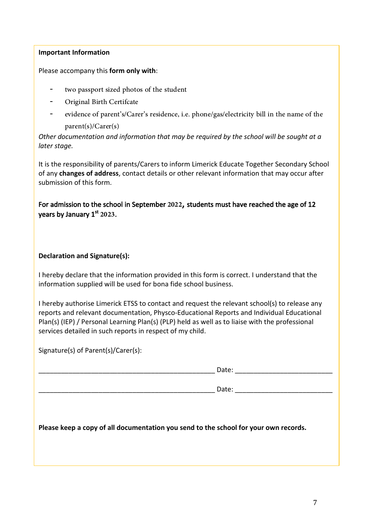### **Important Information**

Please accompany this **form only with**:

- two passport sized photos of the student
- Original Birth Certifcate
- evidence of parent's/Carer's residence, i.e. phone/gas/electricity bill in the name of the parent(s)/Carer(s)

*Other documentation and information that may be required by the school will be sought at a later stage.*

It is the responsibility of parents/Carers to inform Limerick Educate Together Secondary School of any **changes of address**, contact details or other relevant information that may occur after submission of this form.

For admission to the school in September **2022**, students must have reached the age of 12 years by January 1<sup>st</sup> 2023.

### **Declaration and Signature(s):**

I hereby declare that the information provided in this form is correct. I understand that the information supplied will be used for bona fide school business.

I hereby authorise Limerick ETSS to contact and request the relevant school(s) to release any reports and relevant documentation, Physco-Educational Reports and Individual Educational Plan(s) (IEP) / Personal Learning Plan(s) (PLP) held as well as to liaise with the professional services detailed in such reports in respect of my child.

Signature(s) of Parent(s)/Carer(s):

|                                                                                      | Date: __________________________ |
|--------------------------------------------------------------------------------------|----------------------------------|
|                                                                                      |                                  |
| Please keep a copy of all documentation you send to the school for your own records. |                                  |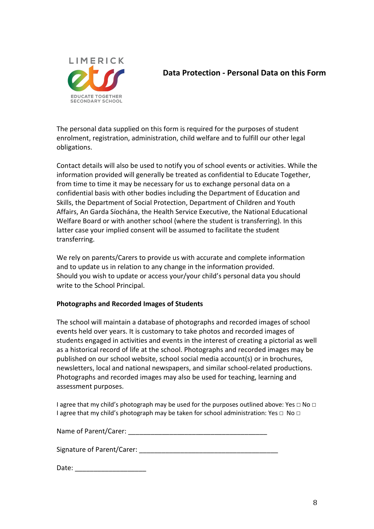

## **Data Protection - Personal Data on this Form**

The personal data supplied on this form is required for the purposes of student enrolment, registration, administration, child welfare and to fulfill our other legal obligations.

Contact details will also be used to notify you of school events or activities. While the information provided will generally be treated as confidential to Educate Together, from time to time it may be necessary for us to exchange personal data on a confidential basis with other bodies including the Department of Education and Skills, the Department of Social Protection, Department of Children and Youth Affairs, An Garda Síochána, the Health Service Executive, the National Educational Welfare Board or with another school (where the student is transferring). In this latter case your implied consent will be assumed to facilitate the student transferring.

We rely on parents/Carers to provide us with accurate and complete information and to update us in relation to any change in the information provided. Should you wish to update or access your/your child's personal data you should write to the School Principal.

### **Photographs and Recorded Images of Students**

The school will maintain a database of photographs and recorded images of school events held over years. It is customary to take photos and recorded images of students engaged in activities and events in the interest of creating a pictorial as well as a historical record of life at the school. Photographs and recorded images may be published on our school website, school social media account(s) or in brochures, newsletters, local and national newspapers, and similar school-related productions. Photographs and recorded images may also be used for teaching, learning and assessment purposes.

I agree that my child's photograph may be used for the purposes outlined above: Yes **☐** No **☐** I agree that my child's photograph may be taken for school administration: Yes **☐** No **☐**

Name of Parent/Carer: \_\_\_\_\_\_\_\_\_\_\_\_\_\_\_\_\_\_\_\_\_\_\_\_\_\_\_\_\_\_\_\_\_\_\_\_\_

Signature of Parent/Carer:

| Date: |  |
|-------|--|
|       |  |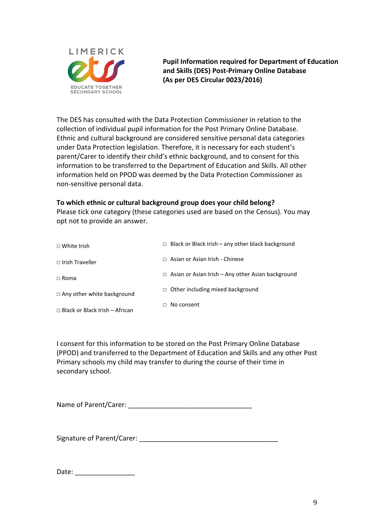

**Pupil Information required for Department of Education and Skills (DES) Post-Primary Online Database (As per DES Circular 0023/2016)**

The DES has consulted with the Data Protection Commissioner in relation to the collection of individual pupil information for the Post Primary Online Database. Ethnic and cultural background are considered sensitive personal data categories under Data Protection legislation. Therefore, it is necessary for each student's parent/Carer to identify their child's ethnic background, and to consent for this information to be transferred to the Department of Education and Skills. All other information held on PPOD was deemed by the Data Protection Commissioner as non-sensitive personal data.

### **To which ethnic or cultural background group does your child belong?**

Please tick one category (these categories used are based on the Census). You may opt not to provide an answer.

| $\Box$ White Irish                    | $\Box$ Black or Black Irish – any other black background |
|---------------------------------------|----------------------------------------------------------|
| $\Box$ Irish Traveller                | $\Box$ Asian or Asian Irish - Chinese                    |
| $\Box$ Roma                           | $\Box$ Asian or Asian Irish – Any other Asian background |
| $\Box$ Any other white background     | $\Box$ Other including mixed background                  |
| $\Box$ Black or Black Irish – African | $\Box$ No consent                                        |

I consent for this information to be stored on the Post Primary Online Database (PPOD) and transferred to the Department of Education and Skills and any other Post Primary schools my child may transfer to during the course of their time in secondary school.

Name of Parent/Carer: \_\_\_\_\_\_\_\_\_\_\_\_\_\_\_\_\_\_\_\_\_\_\_\_\_\_\_\_\_\_\_\_\_

Signature of Parent/Carer: \_\_\_\_\_\_\_\_\_\_\_\_\_\_\_\_\_\_\_\_\_\_\_\_\_\_\_\_\_\_\_\_\_\_\_\_\_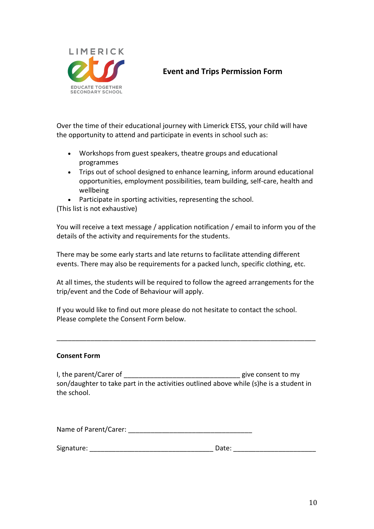

# **Event and Trips Permission Form**

Over the time of their educational journey with Limerick ETSS, your child will have the opportunity to attend and participate in events in school such as:

- Workshops from guest speakers, theatre groups and educational programmes
- Trips out of school designed to enhance learning, inform around educational opportunities, employment possibilities, team building, self-care, health and wellbeing
- Participate in sporting activities, representing the school.

(This list is not exhaustive)

You will receive a text message / application notification / email to inform you of the details of the activity and requirements for the students.

There may be some early starts and late returns to facilitate attending different events. There may also be requirements for a packed lunch, specific clothing, etc.

At all times, the students will be required to follow the agreed arrangements for the trip/event and the Code of Behaviour will apply.

\_\_\_\_\_\_\_\_\_\_\_\_\_\_\_\_\_\_\_\_\_\_\_\_\_\_\_\_\_\_\_\_\_\_\_\_\_\_\_\_\_\_\_\_\_\_\_\_\_\_\_\_\_\_\_\_\_\_\_\_\_\_\_\_\_\_\_\_\_

If you would like to find out more please do not hesitate to contact the school. Please complete the Consent Form below.

#### **Consent Form**

I, the parent/Carer of \_\_\_\_\_\_\_\_\_\_\_\_\_\_\_\_\_\_\_\_\_\_\_\_\_\_\_\_\_\_\_\_\_\_give consent to my son/daughter to take part in the activities outlined above while (s)he is a student in the school.

Name of Parent/Carer: **We also contain the Second State of Parent** 

| Signature: | Date: |
|------------|-------|
|------------|-------|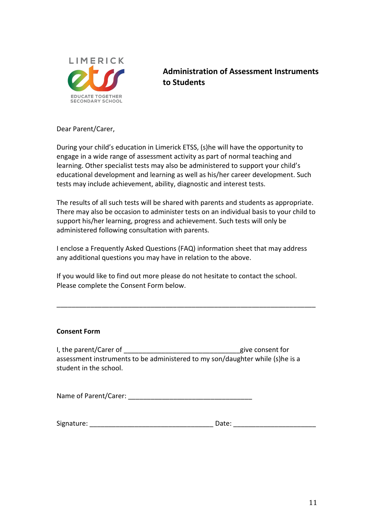

# **Administration of Assessment Instruments to Students**

Dear Parent/Carer,

During your child's education in Limerick ETSS, (s)he will have the opportunity to engage in a wide range of assessment activity as part of normal teaching and learning. Other specialist tests may also be administered to support your child's educational development and learning as well as his/her career development. Such tests may include achievement, ability, diagnostic and interest tests.

The results of all such tests will be shared with parents and students as appropriate. There may also be occasion to administer tests on an individual basis to your child to support his/her learning, progress and achievement. Such tests will only be administered following consultation with parents.

I enclose a Frequently Asked Questions (FAQ) information sheet that may address any additional questions you may have in relation to the above.

If you would like to find out more please do not hesitate to contact the school. Please complete the Consent Form below.

\_\_\_\_\_\_\_\_\_\_\_\_\_\_\_\_\_\_\_\_\_\_\_\_\_\_\_\_\_\_\_\_\_\_\_\_\_\_\_\_\_\_\_\_\_\_\_\_\_\_\_\_\_\_\_\_\_\_\_\_\_\_\_\_\_\_\_\_\_

#### **Consent Form**

I, the parent/Carer of the parent of the parent for the parent for the parent for the parent for the parent for assessment instruments to be administered to my son/daughter while (s)he is a student in the school.

Name of Parent/Carer: